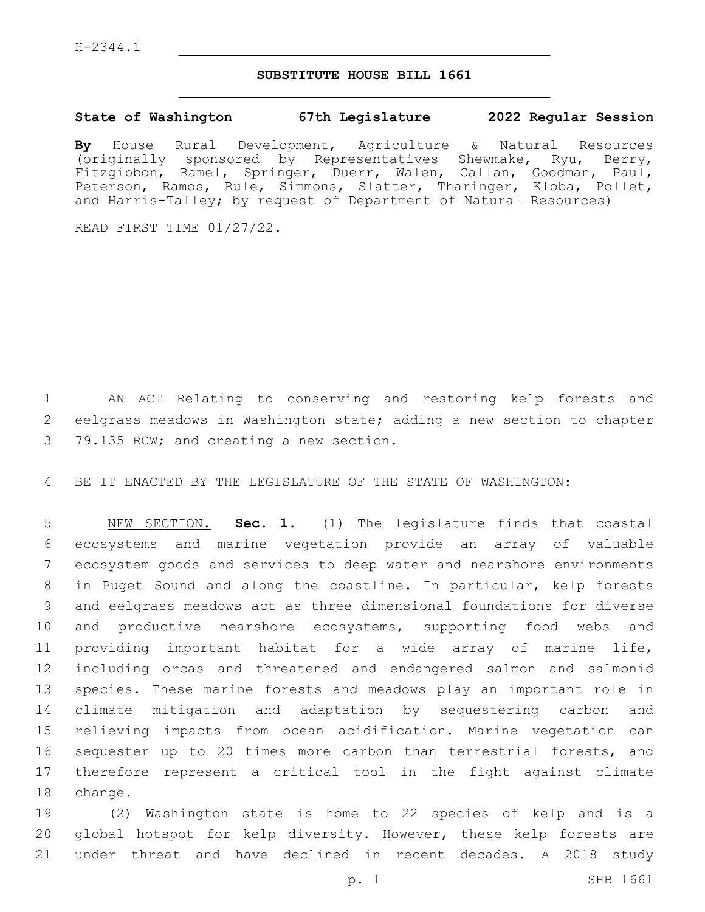## **SUBSTITUTE HOUSE BILL 1661**

## **State of Washington 67th Legislature 2022 Regular Session**

**By** House Rural Development, Agriculture & Natural Resources (originally sponsored by Representatives Shewmake, Ryu, Berry, Fitzgibbon, Ramel, Springer, Duerr, Walen, Callan, Goodman, Paul, Peterson, Ramos, Rule, Simmons, Slatter, Tharinger, Kloba, Pollet, and Harris-Talley; by request of Department of Natural Resources)

READ FIRST TIME 01/27/22.

 AN ACT Relating to conserving and restoring kelp forests and eelgrass meadows in Washington state; adding a new section to chapter 3 79.135 RCW; and creating a new section.

BE IT ENACTED BY THE LEGISLATURE OF THE STATE OF WASHINGTON:

 NEW SECTION. **Sec. 1.** (1) The legislature finds that coastal ecosystems and marine vegetation provide an array of valuable ecosystem goods and services to deep water and nearshore environments in Puget Sound and along the coastline. In particular, kelp forests and eelgrass meadows act as three dimensional foundations for diverse and productive nearshore ecosystems, supporting food webs and providing important habitat for a wide array of marine life, including orcas and threatened and endangered salmon and salmonid species. These marine forests and meadows play an important role in climate mitigation and adaptation by sequestering carbon and relieving impacts from ocean acidification. Marine vegetation can 16 sequester up to 20 times more carbon than terrestrial forests, and therefore represent a critical tool in the fight against climate change.

 (2) Washington state is home to 22 species of kelp and is a global hotspot for kelp diversity. However, these kelp forests are under threat and have declined in recent decades. A 2018 study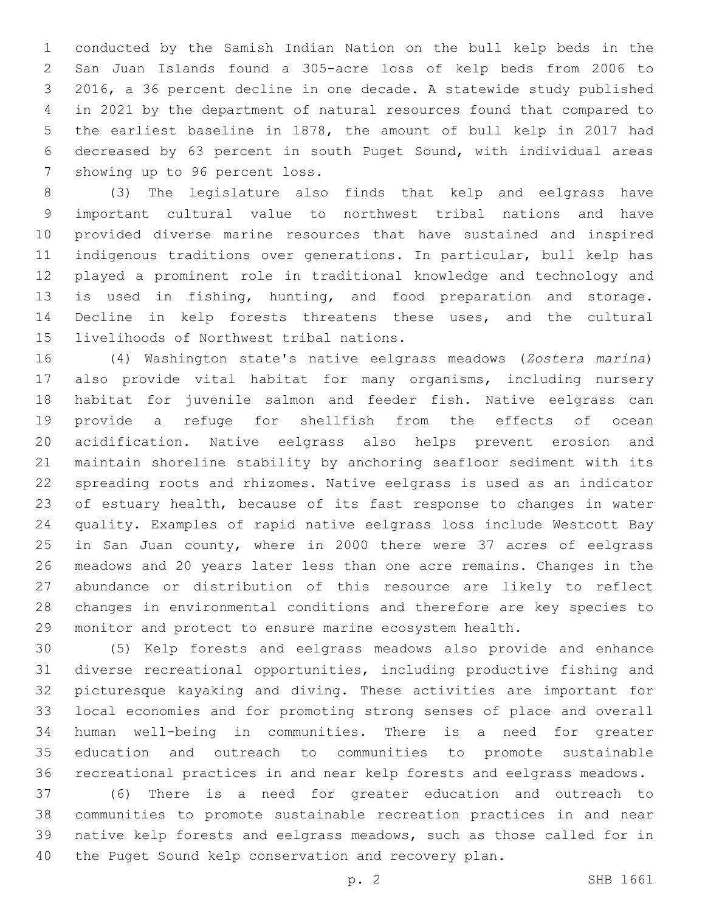conducted by the Samish Indian Nation on the bull kelp beds in the San Juan Islands found a 305-acre loss of kelp beds from 2006 to 2016, a 36 percent decline in one decade. A statewide study published in 2021 by the department of natural resources found that compared to the earliest baseline in 1878, the amount of bull kelp in 2017 had decreased by 63 percent in south Puget Sound, with individual areas 7 showing up to 96 percent loss.

 (3) The legislature also finds that kelp and eelgrass have important cultural value to northwest tribal nations and have provided diverse marine resources that have sustained and inspired indigenous traditions over generations. In particular, bull kelp has played a prominent role in traditional knowledge and technology and is used in fishing, hunting, and food preparation and storage. Decline in kelp forests threatens these uses, and the cultural 15 livelihoods of Northwest tribal nations.

 (4) Washington state's native eelgrass meadows (*Zostera marina*) also provide vital habitat for many organisms, including nursery habitat for juvenile salmon and feeder fish. Native eelgrass can provide a refuge for shellfish from the effects of ocean acidification. Native eelgrass also helps prevent erosion and maintain shoreline stability by anchoring seafloor sediment with its spreading roots and rhizomes. Native eelgrass is used as an indicator of estuary health, because of its fast response to changes in water quality. Examples of rapid native eelgrass loss include Westcott Bay 25 in San Juan county, where in 2000 there were 37 acres of eelgrass meadows and 20 years later less than one acre remains. Changes in the abundance or distribution of this resource are likely to reflect changes in environmental conditions and therefore are key species to monitor and protect to ensure marine ecosystem health.

 (5) Kelp forests and eelgrass meadows also provide and enhance diverse recreational opportunities, including productive fishing and picturesque kayaking and diving. These activities are important for local economies and for promoting strong senses of place and overall human well-being in communities. There is a need for greater education and outreach to communities to promote sustainable recreational practices in and near kelp forests and eelgrass meadows.

 (6) There is a need for greater education and outreach to communities to promote sustainable recreation practices in and near native kelp forests and eelgrass meadows, such as those called for in the Puget Sound kelp conservation and recovery plan.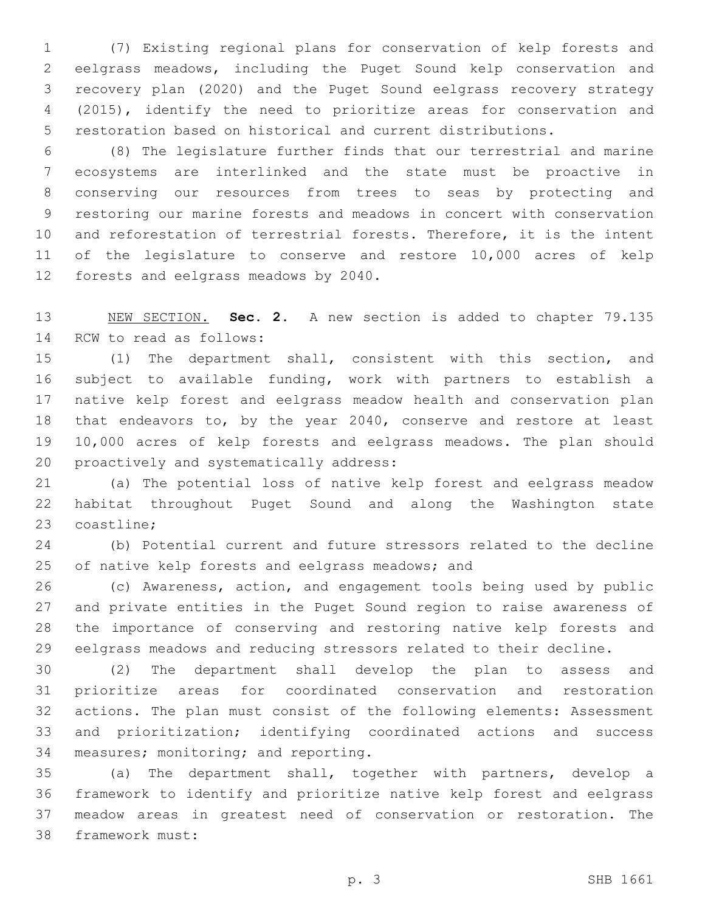(7) Existing regional plans for conservation of kelp forests and eelgrass meadows, including the Puget Sound kelp conservation and recovery plan (2020) and the Puget Sound eelgrass recovery strategy (2015), identify the need to prioritize areas for conservation and restoration based on historical and current distributions.

 (8) The legislature further finds that our terrestrial and marine ecosystems are interlinked and the state must be proactive in conserving our resources from trees to seas by protecting and restoring our marine forests and meadows in concert with conservation and reforestation of terrestrial forests. Therefore, it is the intent of the legislature to conserve and restore 10,000 acres of kelp 12 forests and eelgrass meadows by 2040.

 NEW SECTION. **Sec. 2.** A new section is added to chapter 79.135 14 RCW to read as follows:

 (1) The department shall, consistent with this section, and subject to available funding, work with partners to establish a native kelp forest and eelgrass meadow health and conservation plan 18 that endeavors to, by the year 2040, conserve and restore at least 10,000 acres of kelp forests and eelgrass meadows. The plan should 20 proactively and systematically address:

 (a) The potential loss of native kelp forest and eelgrass meadow habitat throughout Puget Sound and along the Washington state 23 coastline;

 (b) Potential current and future stressors related to the decline 25 of native kelp forests and eelgrass meadows; and

 (c) Awareness, action, and engagement tools being used by public and private entities in the Puget Sound region to raise awareness of the importance of conserving and restoring native kelp forests and eelgrass meadows and reducing stressors related to their decline.

 (2) The department shall develop the plan to assess and prioritize areas for coordinated conservation and restoration actions. The plan must consist of the following elements: Assessment and prioritization; identifying coordinated actions and success 34 measures; monitoring; and reporting.

 (a) The department shall, together with partners, develop a framework to identify and prioritize native kelp forest and eelgrass meadow areas in greatest need of conservation or restoration. The 38 framework must: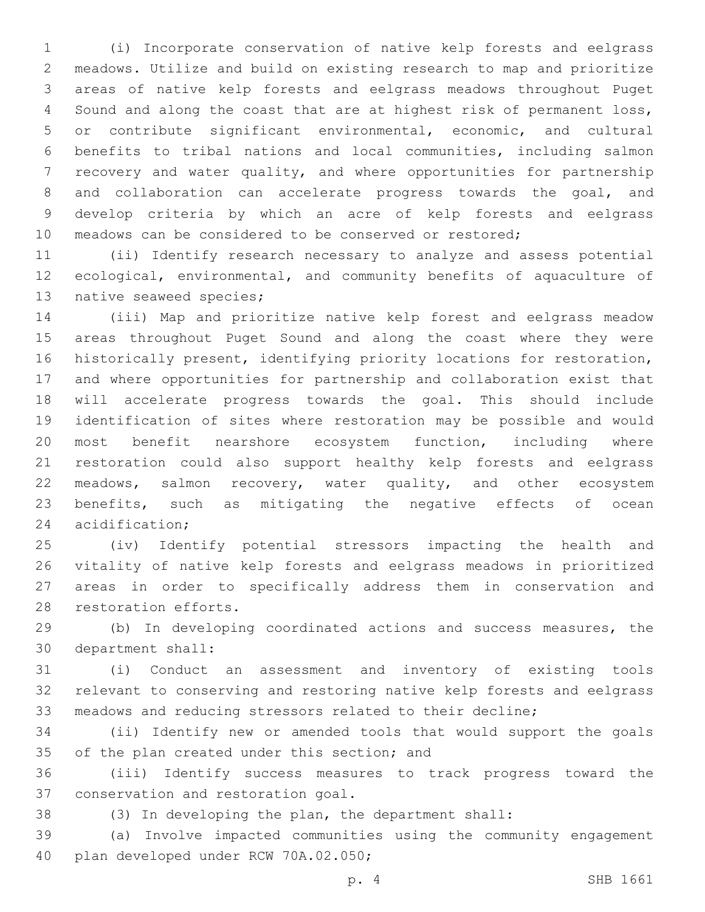(i) Incorporate conservation of native kelp forests and eelgrass meadows. Utilize and build on existing research to map and prioritize areas of native kelp forests and eelgrass meadows throughout Puget Sound and along the coast that are at highest risk of permanent loss, or contribute significant environmental, economic, and cultural benefits to tribal nations and local communities, including salmon recovery and water quality, and where opportunities for partnership and collaboration can accelerate progress towards the goal, and develop criteria by which an acre of kelp forests and eelgrass meadows can be considered to be conserved or restored;

 (ii) Identify research necessary to analyze and assess potential ecological, environmental, and community benefits of aquaculture of 13 native seaweed species;

 (iii) Map and prioritize native kelp forest and eelgrass meadow areas throughout Puget Sound and along the coast where they were historically present, identifying priority locations for restoration, and where opportunities for partnership and collaboration exist that will accelerate progress towards the goal. This should include identification of sites where restoration may be possible and would most benefit nearshore ecosystem function, including where restoration could also support healthy kelp forests and eelgrass meadows, salmon recovery, water quality, and other ecosystem benefits, such as mitigating the negative effects of ocean 24 acidification;

 (iv) Identify potential stressors impacting the health and vitality of native kelp forests and eelgrass meadows in prioritized areas in order to specifically address them in conservation and 28 restoration efforts.

 (b) In developing coordinated actions and success measures, the 30 department shall:

 (i) Conduct an assessment and inventory of existing tools relevant to conserving and restoring native kelp forests and eelgrass meadows and reducing stressors related to their decline;

 (ii) Identify new or amended tools that would support the goals 35 of the plan created under this section; and

 (iii) Identify success measures to track progress toward the 37 conservation and restoration goal.

(3) In developing the plan, the department shall:

 (a) Involve impacted communities using the community engagement 40 plan developed under RCW 70A.02.050;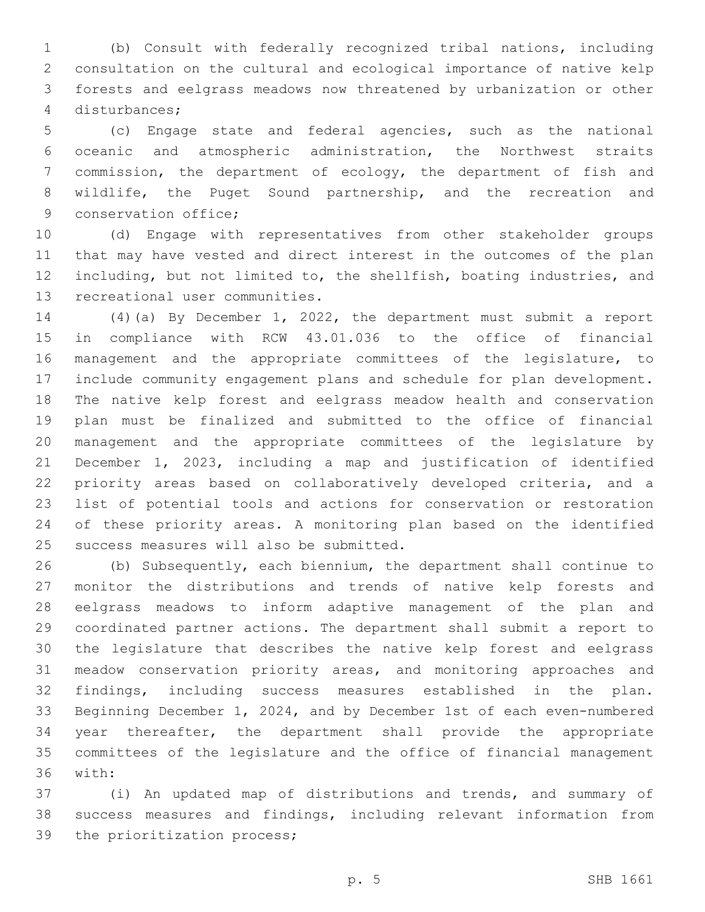(b) Consult with federally recognized tribal nations, including consultation on the cultural and ecological importance of native kelp forests and eelgrass meadows now threatened by urbanization or other disturbances;4

 (c) Engage state and federal agencies, such as the national oceanic and atmospheric administration, the Northwest straits 7 commission, the department of ecology, the department of fish and wildlife, the Puget Sound partnership, and the recreation and 9 conservation office;

 (d) Engage with representatives from other stakeholder groups that may have vested and direct interest in the outcomes of the plan including, but not limited to, the shellfish, boating industries, and 13 recreational user communities.

 (4)(a) By December 1, 2022, the department must submit a report in compliance with RCW 43.01.036 to the office of financial management and the appropriate committees of the legislature, to include community engagement plans and schedule for plan development. The native kelp forest and eelgrass meadow health and conservation plan must be finalized and submitted to the office of financial management and the appropriate committees of the legislature by December 1, 2023, including a map and justification of identified priority areas based on collaboratively developed criteria, and a list of potential tools and actions for conservation or restoration of these priority areas. A monitoring plan based on the identified 25 success measures will also be submitted.

 (b) Subsequently, each biennium, the department shall continue to monitor the distributions and trends of native kelp forests and eelgrass meadows to inform adaptive management of the plan and coordinated partner actions. The department shall submit a report to the legislature that describes the native kelp forest and eelgrass meadow conservation priority areas, and monitoring approaches and findings, including success measures established in the plan. Beginning December 1, 2024, and by December 1st of each even-numbered year thereafter, the department shall provide the appropriate committees of the legislature and the office of financial management 36 with:

 (i) An updated map of distributions and trends, and summary of success measures and findings, including relevant information from 39 the prioritization process;